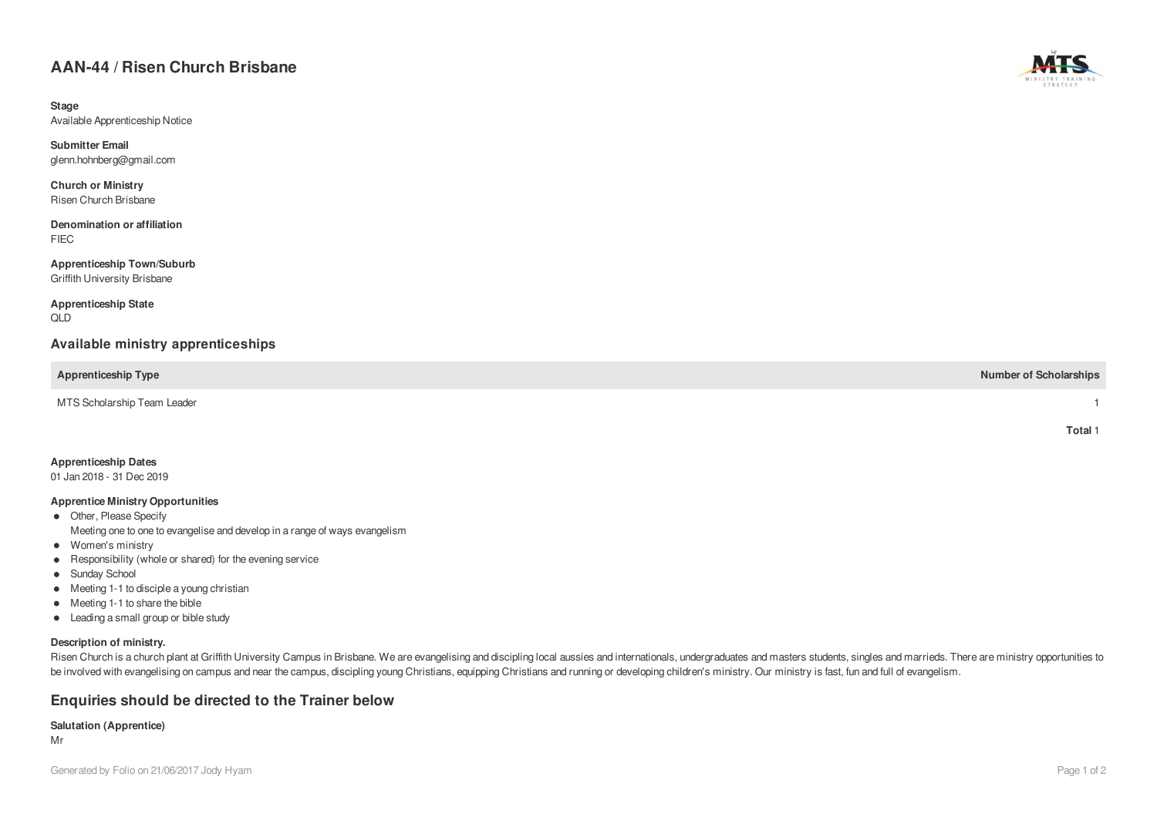# **AAN-44 / Risen Church Brisbane**

**Stage** Available Apprenticeship Notice

**Submitter Email** glenn.hohnberg@gmail.com

**Church or Ministry** Risen Church Brisbane

**Denomination or affiliation** FIEC

**Apprenticeship Town/Suburb** Griffith University Brisbane

**Apprenticeship State** QLD

## **Available ministry apprenticeships**

**Apprenticeship Type Number of Scholarships**

MTS Scholarship Team Leader 1

| Apprenticeship Dates |  |
|----------------------|--|
|----------------------|--|

01 Jan 2018 - 31 Dec 2019

#### **Apprentice Ministry Opportunities**

- Other, Please Specify Meeting one to one to evangelise and develop in a range of ways evangelism
- Women's ministry
- Responsibility (whole or shared) for the evening service
- Sunday School
- Meeting 1-1 to disciple a young christian
- Meeting 1-1 to share the bible
- Leading a small group or bible study

### **Description of ministry.**

Risen Church is a church plant at Griffith University Campus in Brisbane. We are evangelising and discipling local aussies and internationals, undergraduates and masters students, singles and marrieds. There are ministry o be involved with evangelising on campus and near the campus, discipling young Christians, equipping Christians and running or developing children's ministry. Our ministry is fast, fun and full of evangelism.

### **Enquiries should be directed to the Trainer below**

#### **Salutation (Apprentice)**

Mr



**Total** 1